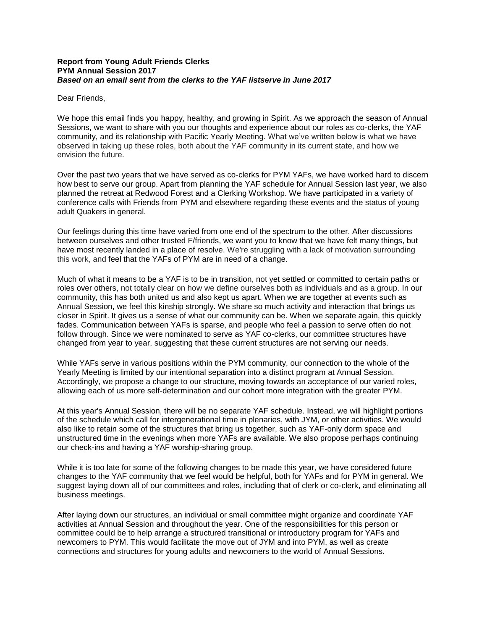## **Report from Young Adult Friends Clerks PYM Annual Session 2017** *Based on an email sent from the clerks to the YAF listserve in June 2017*

Dear Friends,

We hope this email finds you happy, healthy, and growing in Spirit. As we approach the season of Annual Sessions, we want to share with you our thoughts and experience about our roles as co-clerks, the YAF community, and its relationship with Pacific Yearly Meeting. What we've written below is what we have observed in taking up these roles, both about the YAF community in its current state, and how we envision the future.

Over the past two years that we have served as co-clerks for PYM YAFs, we have worked hard to discern how best to serve our group. Apart from planning the YAF schedule for Annual Session last year, we also planned the retreat at Redwood Forest and a Clerking Workshop. We have participated in a variety of conference calls with Friends from PYM and elsewhere regarding these events and the status of young adult Quakers in general.

Our feelings during this time have varied from one end of the spectrum to the other. After discussions between ourselves and other trusted F/friends, we want you to know that we have felt many things, but have most recently landed in a place of resolve. We're struggling with a lack of motivation surrounding this work, and feel that the YAFs of PYM are in need of a change.

Much of what it means to be a YAF is to be in transition, not yet settled or committed to certain paths or roles over others, not totally clear on how we define ourselves both as individuals and as a group. In our community, this has both united us and also kept us apart. When we are together at events such as Annual Session, we feel this kinship strongly. We share so much activity and interaction that brings us closer in Spirit. It gives us a sense of what our community can be. When we separate again, this quickly fades. Communication between YAFs is sparse, and people who feel a passion to serve often do not follow through. Since we were nominated to serve as YAF co-clerks, our committee structures have changed from year to year, suggesting that these current structures are not serving our needs.

While YAFs serve in various positions within the PYM community, our connection to the whole of the Yearly Meeting is limited by our intentional separation into a distinct program at Annual Session. Accordingly, we propose a change to our structure, moving towards an acceptance of our varied roles, allowing each of us more self-determination and our cohort more integration with the greater PYM.

At this year's Annual Session, there will be no separate YAF schedule. Instead, we will highlight portions of the schedule which call for intergenerational time in plenaries, with JYM, or other activities. We would also like to retain some of the structures that bring us together, such as YAF-only dorm space and unstructured time in the evenings when more YAFs are available. We also propose perhaps continuing our check-ins and having a YAF worship-sharing group.

While it is too late for some of the following changes to be made this year, we have considered future changes to the YAF community that we feel would be helpful, both for YAFs and for PYM in general. We suggest laying down all of our committees and roles, including that of clerk or co-clerk, and eliminating all business meetings.

After laying down our structures, an individual or small committee might organize and coordinate YAF activities at Annual Session and throughout the year. One of the responsibilities for this person or committee could be to help arrange a structured transitional or introductory program for YAFs and newcomers to PYM. This would facilitate the move out of JYM and into PYM, as well as create connections and structures for young adults and newcomers to the world of Annual Sessions.